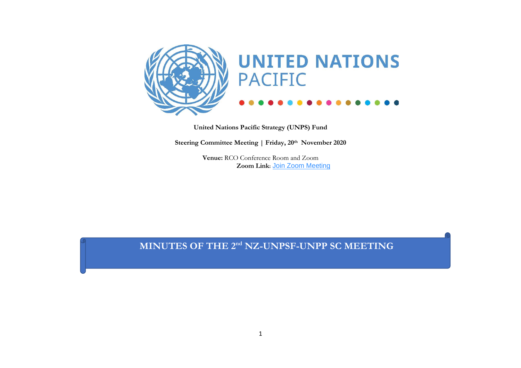

**United Nations Pacific Strategy (UNPS) Fund**

**Steering Committee Meeting | Friday, 20th November 2020**

**Venue:** RCO Conference Room and Zoom  **Zoom Link:** [Join Zoom Meeting](https://undp.zoom.us/j/86347620491?pwd=cFNhZkRMRFB1eS9hOVp3Nm5hQVJOdz09&from=addon)

**MINUTES OF THE 2nd NZ-UNPSF-UNPP SC MEETING**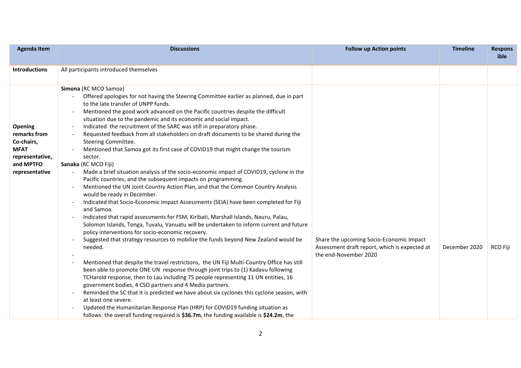| <b>Agenda Item</b>                                                                                            | <b>Discussions</b><br><b>Follow up Action points</b>                                                                                                                                                                                                                                                                                                                                                                                                                                                                                                                                                                                                                                                                                                                                                                                                                                                                                                                                                                                                                                                                                                                                                                                                                                                                                                                                                                                                                                                                                                                                                                                                                                                                                                                                                                                                                                                                                                                                            |                                                                                                                    | <b>Timeline</b> | <b>Respons</b><br>ible |
|---------------------------------------------------------------------------------------------------------------|-------------------------------------------------------------------------------------------------------------------------------------------------------------------------------------------------------------------------------------------------------------------------------------------------------------------------------------------------------------------------------------------------------------------------------------------------------------------------------------------------------------------------------------------------------------------------------------------------------------------------------------------------------------------------------------------------------------------------------------------------------------------------------------------------------------------------------------------------------------------------------------------------------------------------------------------------------------------------------------------------------------------------------------------------------------------------------------------------------------------------------------------------------------------------------------------------------------------------------------------------------------------------------------------------------------------------------------------------------------------------------------------------------------------------------------------------------------------------------------------------------------------------------------------------------------------------------------------------------------------------------------------------------------------------------------------------------------------------------------------------------------------------------------------------------------------------------------------------------------------------------------------------------------------------------------------------------------------------------------------------|--------------------------------------------------------------------------------------------------------------------|-----------------|------------------------|
| <b>Introductions</b>                                                                                          | All participants introduced themselves                                                                                                                                                                                                                                                                                                                                                                                                                                                                                                                                                                                                                                                                                                                                                                                                                                                                                                                                                                                                                                                                                                                                                                                                                                                                                                                                                                                                                                                                                                                                                                                                                                                                                                                                                                                                                                                                                                                                                          |                                                                                                                    |                 |                        |
| <b>Opening</b><br>remarks from<br>Co-chairs,<br><b>MFAT</b><br>representative,<br>and MPTFO<br>representative | Simona (RC MCO Samoa)<br>Offered apologies for not having the Steering Committee earlier as planned, due in part<br>to the late transfer of UNPP funds.<br>Mentioned the good work advanced on the Pacific countries despite the difficult<br>situation due to the pandemic and its economic and social impact.<br>Indicated the recruitment of the SARC was still in preparatory phase.<br>Requested feedback from all stakeholders on draft documents to be shared during the<br>Steering Committee.<br>Mentioned that Samoa got its first case of COVID19 that might change the tourism<br>sector.<br>Sanaka (RC MCO Fiji)<br>Made a brief situation analysis of the socio-economic impact of COVID19, cyclone in the<br>Pacific countries, and the subsequent impacts on programming.<br>Mentioned the UN Joint Country Action Plan, and that the Common Country Analysis<br>would be ready in December.<br>Indicated that Socio-Economic Impact Assessments (SEIA) have been completed for Fiji<br>and Samoa.<br>Indicated that rapid assessments for FSM, Kiribati, Marshall Islands, Nauru, Palau,<br>Solomon Islands, Tonga, Tuvalu, Vanuatu will be undertaken to inform current and future<br>policy interventions for socio-economic recovery.<br>Suggested that strategy resources to mobilize the funds beyond New Zealand would be<br>needed.<br>Mentioned that despite the travel restrictions, the UN Fiji Multi-Country Office has still<br>been able to promote ONE UN response through joint trips to (1) Kadavu following<br>TCHarold response, then to Lau including 75 people representing 11 UN entities, 16<br>government bodies, 4 CSO partners and 4 Media partners.<br>Reminded the SC that it is predicted we have about six cyclones this cyclone season, with<br>at least one severe.<br>Updated the Humanitarian Response Plan (HRP) for COVID19 funding situation as<br>follows: the overall funding required is \$36.7m, the funding available is \$24.2m, the | Share the upcoming Socio-Economic Impact<br>Assessment draft report, which is expected at<br>the end-November 2020 | December 2020   | RCO Fiji               |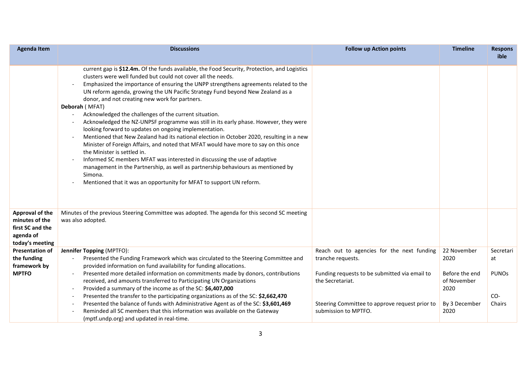| <b>Agenda Item</b>                                                                           | <b>Discussions</b>                                                                                                                                                                                                                                                                                                                                                                                                                                                                                                                                                                                                                                                                                                                                                                                                                                                                                                                                                                                                                                                                         | <b>Follow up Action points</b>                                                                                                              | <b>Timeline</b>                                                | <b>Respons</b><br>ible        |
|----------------------------------------------------------------------------------------------|--------------------------------------------------------------------------------------------------------------------------------------------------------------------------------------------------------------------------------------------------------------------------------------------------------------------------------------------------------------------------------------------------------------------------------------------------------------------------------------------------------------------------------------------------------------------------------------------------------------------------------------------------------------------------------------------------------------------------------------------------------------------------------------------------------------------------------------------------------------------------------------------------------------------------------------------------------------------------------------------------------------------------------------------------------------------------------------------|---------------------------------------------------------------------------------------------------------------------------------------------|----------------------------------------------------------------|-------------------------------|
|                                                                                              | current gap is \$12.4m. Of the funds available, the Food Security, Protection, and Logistics<br>clusters were well funded but could not cover all the needs.<br>Emphasized the importance of ensuring the UNPP strengthens agreements related to the<br>UN reform agenda, growing the UN Pacific Strategy Fund beyond New Zealand as a<br>donor, and not creating new work for partners.<br>Deborah (MFAT)<br>Acknowledged the challenges of the current situation.<br>Acknowledged the NZ-UNPSF programme was still in its early phase. However, they were<br>looking forward to updates on ongoing implementation.<br>Mentioned that New Zealand had its national election in October 2020, resulting in a new<br>Minister of Foreign Affairs, and noted that MFAT would have more to say on this once<br>the Minister is settled in.<br>Informed SC members MFAT was interested in discussing the use of adaptive<br>management in the Partnership, as well as partnership behaviours as mentioned by<br>Simona.<br>Mentioned that it was an opportunity for MFAT to support UN reform. |                                                                                                                                             |                                                                |                               |
| <b>Approval of the</b><br>minutes of the<br>first SC and the<br>agenda of<br>today's meeting | Minutes of the previous Steering Committee was adopted. The agenda for this second SC meeting<br>was also adopted.                                                                                                                                                                                                                                                                                                                                                                                                                                                                                                                                                                                                                                                                                                                                                                                                                                                                                                                                                                         |                                                                                                                                             |                                                                |                               |
| <b>Presentation of</b>                                                                       | <b>Jennifer Topping (MPTFO):</b>                                                                                                                                                                                                                                                                                                                                                                                                                                                                                                                                                                                                                                                                                                                                                                                                                                                                                                                                                                                                                                                           | Reach out to agencies for the next funding                                                                                                  | 22 November                                                    | Secretari                     |
| the funding<br>framework by                                                                  | Presented the Funding Framework which was circulated to the Steering Committee and<br>provided information on fund availability for funding allocations.                                                                                                                                                                                                                                                                                                                                                                                                                                                                                                                                                                                                                                                                                                                                                                                                                                                                                                                                   | tranche requests.                                                                                                                           | 2020                                                           | at                            |
| <b>MPTFO</b>                                                                                 | Presented more detailed information on commitments made by donors, contributions<br>received, and amounts transferred to Participating UN Organizations<br>Provided a summary of the income as of the SC: \$6,407,000<br>Presented the transfer to the participating organizations as of the SC: \$2,662,470<br>Presented the balance of funds with Administrative Agent as of the SC: \$3,601,469<br>Reminded all SC members that this information was available on the Gateway<br>(mptf.undp.org) and updated in real-time.                                                                                                                                                                                                                                                                                                                                                                                                                                                                                                                                                              | Funding requests to be submitted via email to<br>the Secretariat.<br>Steering Committee to approve request prior to<br>submission to MPTFO. | Before the end<br>of November<br>2020<br>By 3 December<br>2020 | <b>PUNOS</b><br>CO-<br>Chairs |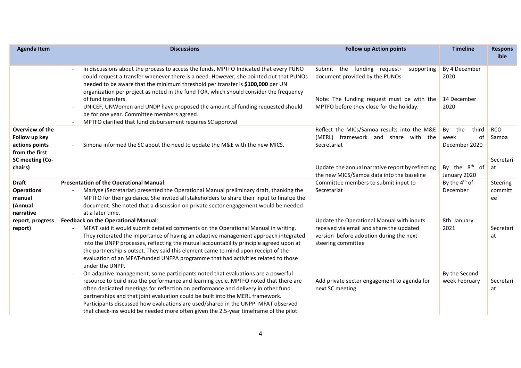| <b>Agenda Item</b>                                                                                 | <b>Discussions</b><br><b>Follow up Action points</b>                                                                                                                                                                                                                                                                                                                                                                                                                                                                                                                            |                                                                                                                                                                       | <b>Timeline</b>                                                                                     | <b>Respons</b><br>ible                 |
|----------------------------------------------------------------------------------------------------|---------------------------------------------------------------------------------------------------------------------------------------------------------------------------------------------------------------------------------------------------------------------------------------------------------------------------------------------------------------------------------------------------------------------------------------------------------------------------------------------------------------------------------------------------------------------------------|-----------------------------------------------------------------------------------------------------------------------------------------------------------------------|-----------------------------------------------------------------------------------------------------|----------------------------------------|
|                                                                                                    | In discussions about the process to access the funds, MPTFO Indicated that every PUNO<br>could request a transfer whenever there is a need. However, she pointed out that PUNOs<br>needed to be aware that the minimum threshold per transfer is \$100,000 per UN<br>organization per project as noted in the fund TOR, which should consider the frequency<br>of fund transfers.<br>UNICEF, UNWomen and UNDP have proposed the amount of funding requested should<br>be for one year. Committee members agreed.<br>MPTFO clarified that fund disbursement requires SC approval | Submit the funding request+<br>supporting<br>document provided by the PUNOs<br>Note: The funding request must be with the<br>MPTFO before they close for the holiday. | By 4 December<br>2020<br>14 December<br>2020                                                        |                                        |
| Overview of the<br>Follow up key<br>actions points<br>from the first<br>SC meeting (Co-<br>chairs) | Reflect the MICs/Samoa results into the M&E<br>(MERL) framework and share with the<br>Simona informed the SC about the need to update the M&E with the new MICS.<br>Secretariat<br>Update the annual narrative report by reflecting<br>the new MICS/Samoa data into the baseline                                                                                                                                                                                                                                                                                                |                                                                                                                                                                       | third<br>By<br>the<br>week<br>оf<br>December 2020<br>By the 8 <sup>th</sup><br>- of<br>January 2020 | <b>RCO</b><br>Samoa<br>Secretari<br>at |
| <b>Draft</b><br><b>Operations</b><br>manual<br>(Annual<br>narrative                                | Presentation of the Operational Manual:<br>Marlyse (Secretariat) presented the Operational Manual preliminary draft, thanking the<br>MPTFO for their guidance. She invited all stakeholders to share their input to finalize the<br>document. She noted that a discussion on private sector engagement would be needed<br>at a later time.                                                                                                                                                                                                                                      | Committee members to submit input to<br>Secretariat                                                                                                                   | By the 4 <sup>th</sup> of<br>December                                                               | Steering<br>committ<br>ee              |
| report, progress<br>report)                                                                        | <b>Feedback on the Operational Manual:</b><br>MFAT said it would submit detailed comments on the Operational Manual in writing.<br>They reiterated the importance of having an adaptive management approach integrated<br>into the UNPP processes, reflecting the mutual accountability principle agreed upon at<br>the partnership's outset. They said this element came to mind upon receipt of the<br>evaluation of an MFAT-funded UNFPA programme that had activities related to those<br>under the UNPP.                                                                   | Update the Operational Manual with inputs<br>received via email and share the updated<br>version before adoption during the next<br>steering committee                | 8th January<br>2021                                                                                 | Secretari<br>at                        |
|                                                                                                    | On adaptive management, some participants noted that evaluations are a powerful<br>resource to build into the performance and learning cycle. MPTFO noted that there are<br>often dedicated meetings for reflection on performance and delivery in other fund<br>partnerships and that joint evaluation could be built into the MERL framework.<br>Participants discussed how evaluations are used/shared in the UNPP. MFAT observed<br>that check-ins would be needed more often given the 2.5-year timeframe of the pilot.                                                    | Add private sector engagement to agenda for<br>next SC meeting                                                                                                        | By the Second<br>week February                                                                      | Secretari<br>at                        |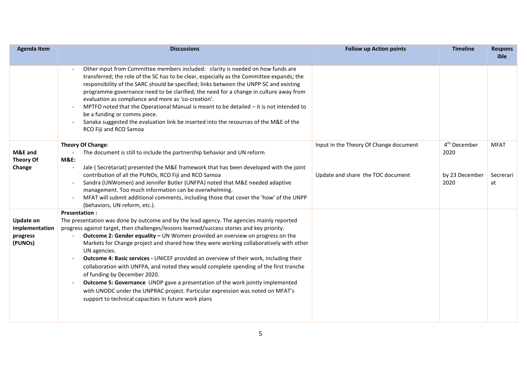| <b>Agenda Item</b>                                        | <b>Discussions</b>                                                                                                                                                                                                                                                                                                                                                                                                                                                                                                                                                                                                                                                                                                                                                                                                                                        | <b>Follow up Action points</b>                                              | <b>Timeline</b>                                            | <b>Respons</b><br>ible         |
|-----------------------------------------------------------|-----------------------------------------------------------------------------------------------------------------------------------------------------------------------------------------------------------------------------------------------------------------------------------------------------------------------------------------------------------------------------------------------------------------------------------------------------------------------------------------------------------------------------------------------------------------------------------------------------------------------------------------------------------------------------------------------------------------------------------------------------------------------------------------------------------------------------------------------------------|-----------------------------------------------------------------------------|------------------------------------------------------------|--------------------------------|
|                                                           | Other input from Committee members included: clarity is needed on how funds are<br>transferred; the role of the SC has to be clear, especially as the Committee expands; the<br>responsibility of the SARC should be specified; links between the UNPP SC and existing<br>programme governance need to be clarified; the need for a change in culture away from<br>evaluation as compliance and more as 'co-creation'.<br>MPTFO noted that the Operational Manual is meant to be detailed - it is not intended to<br>be a funding or comms piece.<br>Sanaka suggested the evaluation link be inserted into the resources of the M&E of the<br>RCO Fiji and RCO Samoa                                                                                                                                                                                      |                                                                             |                                                            |                                |
| M&E and<br><b>Theory Of</b><br>Change                     | Theory Of Change:<br>The document is still to include the partnership behavior and UN reform<br><b>M&amp;E:</b><br>Jale (Secretariat) presented the M&E framework that has been developed with the joint<br>contribution of all the PUNOs, RCO Fiji and RCO Samoa<br>Sandra (UNWomen) and Jennifer Butler (UNFPA) noted that M&E needed adaptive<br>management. Too much information can be overwhelming.<br>MFAT will submit additional comments, including those that cover the 'how' of the UNPP<br>(behaviors, UN reform, etc.).                                                                                                                                                                                                                                                                                                                      | Input in the Theory Of Change document<br>Update and share the TOC document | 4 <sup>th</sup> December<br>2020<br>by 23 December<br>2020 | <b>MFAT</b><br>Secrerari<br>at |
| <b>Update on</b><br>implementation<br>progress<br>(PUNOs) | <b>Presentation:</b><br>The presentation was done by outcome and by the lead agency. The agencies mainly reported<br>progress against target, then challenges/lessons learned/success stories and key priority.<br>Outcome 2: Gender equality - UN Women provided an overview on progress on the<br>Markets for Change project and shared how they were working collaboratively with other<br>UN agencies.<br>Outcome 4: Basic services - UNICEF provided an overview of their work, including their<br>collaboration with UNFPA, and noted they would complete spending of the first tranche<br>of funding by December 2020.<br>Outcome 5: Governance UNDP gave a presentation of the work jointly implemented<br>with UNODC under the UNPRAC project. Particular expression was noted on MFAT's<br>support to technical capacities in future work plans |                                                                             |                                                            |                                |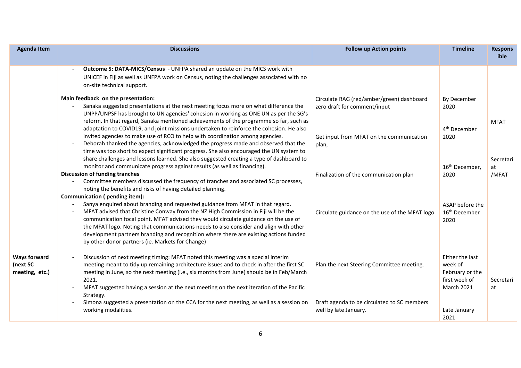| <b>Agenda Item</b>                                | <b>Discussions</b>                                                                                                                                                                                                                                                                                                                                                                                                                                                                                                                                                                                                                                                                                                                                                                                                                                                                                                                                                                                                                                                                                                                                                                                                                                                                                                                                                                                                                                                                                                                                                                                                                                                                                                                                                                           | <b>Follow up Action points</b>                                                                                                                                                                                             | <b>Timeline</b>                                                                                                                                       | <b>Respons</b><br>ible                  |
|---------------------------------------------------|----------------------------------------------------------------------------------------------------------------------------------------------------------------------------------------------------------------------------------------------------------------------------------------------------------------------------------------------------------------------------------------------------------------------------------------------------------------------------------------------------------------------------------------------------------------------------------------------------------------------------------------------------------------------------------------------------------------------------------------------------------------------------------------------------------------------------------------------------------------------------------------------------------------------------------------------------------------------------------------------------------------------------------------------------------------------------------------------------------------------------------------------------------------------------------------------------------------------------------------------------------------------------------------------------------------------------------------------------------------------------------------------------------------------------------------------------------------------------------------------------------------------------------------------------------------------------------------------------------------------------------------------------------------------------------------------------------------------------------------------------------------------------------------------|----------------------------------------------------------------------------------------------------------------------------------------------------------------------------------------------------------------------------|-------------------------------------------------------------------------------------------------------------------------------------------------------|-----------------------------------------|
|                                                   | Outcome 5: DATA-MICS/Census - UNFPA shared an update on the MICS work with<br>UNICEF in Fiji as well as UNFPA work on Census, noting the challenges associated with no<br>on-site technical support.<br>Main feedback on the presentation:<br>Sanaka suggested presentations at the next meeting focus more on what difference the<br>UNPP/UNPSF has brought to UN agencies' cohesion in working as ONE UN as per the SG's<br>reform. In that regard, Sanaka mentioned achievements of the programme so far, such as<br>adaptation to COVID19, and joint missions undertaken to reinforce the cohesion. He also<br>invited agencies to make use of RCO to help with coordination among agencies.<br>Deborah thanked the agencies, acknowledged the progress made and observed that the<br>time was too short to expect significant progress. She also encouraged the UN system to<br>share challenges and lessons learned. She also suggested creating a type of dashboard to<br>monitor and communicate progress against results (as well as financing).<br><b>Discussion of funding tranches</b><br>Committee members discussed the frequency of tranches and associated SC processes,<br>noting the benefits and risks of having detailed planning.<br>Communication (pending item):<br>Sanya enquired about branding and requested guidance from MFAT in that regard.<br>MFAT advised that Christine Conway from the NZ High Commission in Fiji will be the<br>communication focal point. MFAT advised they would circulate guidance on the use of<br>the MFAT logo. Noting that communications needs to also consider and align with other<br>development partners branding and recognition where there are existing actions funded<br>by other donor partners (ie. Markets for Change) | Circulate RAG (red/amber/green) dashboard<br>zero draft for comment/input<br>Get input from MFAT on the communication<br>plan,<br>Finalization of the communication plan<br>Circulate guidance on the use of the MFAT logo | By December<br>2020<br>4 <sup>th</sup> December<br>2020<br>16 <sup>th</sup> December,<br>2020<br>ASAP before the<br>16 <sup>th</sup> December<br>2020 | <b>MFAT</b><br>Secretari<br>at<br>/MFAT |
| <b>Ways forward</b><br>(next SC<br>meeting, etc.) | Discussion of next meeting timing: MFAT noted this meeting was a special interim<br>meeting meant to tidy up remaining architecture issues and to check in after the first SC<br>meeting in June, so the next meeting (i.e., six months from June) should be in Feb/March<br>2021.<br>MFAT suggested having a session at the next meeting on the next iteration of the Pacific<br>Strategy.<br>Simona suggested a presentation on the CCA for the next meeting, as well as a session on<br>working modalities.                                                                                                                                                                                                                                                                                                                                                                                                                                                                                                                                                                                                                                                                                                                                                                                                                                                                                                                                                                                                                                                                                                                                                                                                                                                                               | Plan the next Steering Committee meeting.<br>Draft agenda to be circulated to SC members<br>well by late January.                                                                                                          | Either the last<br>week of<br>February or the<br>first week of<br><b>March 2021</b><br>Late January<br>2021                                           | Secretari<br>at                         |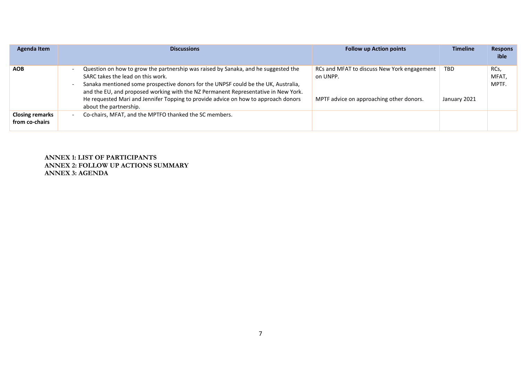| <b>Agenda Item</b>                       | <b>Discussions</b>                                                                                                                                                                                                                                                                                                                                                                                                  | <b>Follow up Action points</b>                                                                      | <b>Timeline</b>            | <b>Respons</b><br>ible       |
|------------------------------------------|---------------------------------------------------------------------------------------------------------------------------------------------------------------------------------------------------------------------------------------------------------------------------------------------------------------------------------------------------------------------------------------------------------------------|-----------------------------------------------------------------------------------------------------|----------------------------|------------------------------|
| <b>AOB</b>                               | Question on how to grow the partnership was raised by Sanaka, and he suggested the<br>SARC takes the lead on this work.<br>Sanaka mentioned some prospective donors for the UNPSF could be the UK, Australia,<br>and the EU, and proposed working with the NZ Permanent Representative in New York.<br>He requested Mari and Jennifer Topping to provide advice on how to approach donors<br>about the partnership. | RCs and MFAT to discuss New York engagement<br>on UNPP.<br>MPTF advice on approaching other donors. | <b>TBD</b><br>January 2021 | RCs,<br><b>MFAT</b><br>MPTF. |
| <b>Closing remarks</b><br>from co-chairs | Co-chairs, MFAT, and the MPTFO thanked the SC members.                                                                                                                                                                                                                                                                                                                                                              |                                                                                                     |                            |                              |

**ANNEX 1: LIST OF PARTICIPANTS ANNEX 2: FOLLOW UP ACTIONS SUMMARY ANNEX 3: AGENDA**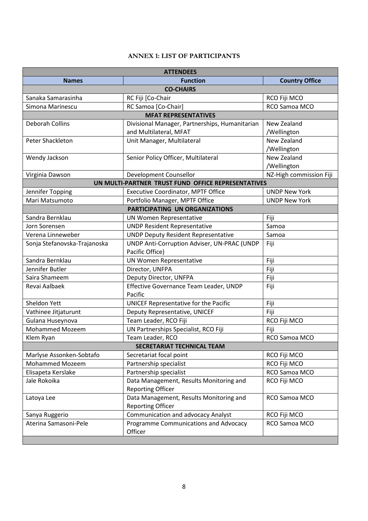## **ANNEX 1: LIST OF PARTICIPANTS**

| <b>ATTENDEES</b>             |                                                    |                         |  |  |  |
|------------------------------|----------------------------------------------------|-------------------------|--|--|--|
| <b>Names</b>                 | <b>Function</b>                                    | <b>Country Office</b>   |  |  |  |
| <b>CO-CHAIRS</b>             |                                                    |                         |  |  |  |
| Sanaka Samarasinha           | RC Fiji [Co-Chair                                  | RCO Fiji MCO            |  |  |  |
| Simona Marinescu             | RC Samoa [Co-Chair]                                | RCO Samoa MCO           |  |  |  |
|                              | <b>MFAT REPRESENTATIVES</b>                        |                         |  |  |  |
| <b>Deborah Collins</b>       | Divisional Manager, Partnerships, Humanitarian     | New Zealand             |  |  |  |
|                              | and Multilateral, MFAT                             | /Wellington             |  |  |  |
| Peter Shackleton             | Unit Manager, Multilateral                         | New Zealand             |  |  |  |
|                              |                                                    | /Wellington             |  |  |  |
| Wendy Jackson                | Senior Policy Officer, Multilateral                | New Zealand             |  |  |  |
|                              |                                                    | /Wellington             |  |  |  |
| Virginia Dawson              | Development Counsellor                             | NZ-High commission Fiji |  |  |  |
|                              | UN MULTI-PARTNER TRUST FUND OFFICE REPRESENTATIVES |                         |  |  |  |
| Jennifer Topping             | <b>Executive Coordinator, MPTF Office</b>          | <b>UNDP New York</b>    |  |  |  |
| Mari Matsumoto               | Portfolio Manager, MPTF Office                     | <b>UNDP New York</b>    |  |  |  |
|                              | PARTICIPATING UN ORGANIZATIONS                     |                         |  |  |  |
| Sandra Bernklau              | <b>UN Women Representative</b>                     | Fiji                    |  |  |  |
| Jorn Sorensen                | <b>UNDP Resident Representative</b>                | Samoa                   |  |  |  |
| Verena Linneweber            | <b>UNDP Deputy Resident Representative</b>         | Samoa                   |  |  |  |
| Sonja Stefanovska-Trajanoska | UNDP Anti-Corruption Adviser, UN-PRAC (UNDP        | Fiji                    |  |  |  |
|                              | Pacific Office)                                    |                         |  |  |  |
| Sandra Bernklau              | UN Women Representative                            | Fiji                    |  |  |  |
| Jennifer Butler              | Director, UNFPA                                    | Fiji                    |  |  |  |
| Saira Shameem                | Deputy Director, UNFPA                             | Fiji                    |  |  |  |
| Revai Aalbaek                | Effective Governance Team Leader, UNDP             | Fiji                    |  |  |  |
|                              | Pacific                                            |                         |  |  |  |
| Sheldon Yett                 | UNICEF Representative for the Pacific              | Fiji                    |  |  |  |
| Vathinee Jitjaturunt         | Deputy Representative, UNICEF                      | Fiji                    |  |  |  |
| Gulana Huseynova             | Team Leader, RCO Fiji                              | RCO Fiji MCO            |  |  |  |
| <b>Mohammed Mozeem</b>       | UN Partnerships Specialist, RCO Fiji               | Fiji                    |  |  |  |
| Klem Ryan                    | Team Leader, RCO                                   | RCO Samoa MCO           |  |  |  |
|                              | <b>SECRETARIAT TECHNICAL TEAM</b>                  |                         |  |  |  |
| Marlyse Assonken-Sobtafo     | Secretariat focal point                            | RCO Fiji MCO            |  |  |  |
| <b>Mohammed Mozeem</b>       | Partnership specialist                             | RCO Fiji MCO            |  |  |  |
| Elisapeta Kerslake           | Partnership specialist                             | RCO Samoa MCO           |  |  |  |
| Jale Rokoika                 | Data Management, Results Monitoring and            | RCO Fiji MCO            |  |  |  |
|                              | <b>Reporting Officer</b>                           |                         |  |  |  |
| Latoya Lee                   | Data Management, Results Monitoring and            | RCO Samoa MCO           |  |  |  |
|                              | <b>Reporting Officer</b>                           |                         |  |  |  |
| Sanya Ruggerio               | Communication and advocacy Analyst                 | RCO Fiji MCO            |  |  |  |
| Aterina Samasoni-Pele        | Programme Communications and Advocacy              | RCO Samoa MCO           |  |  |  |
|                              | Officer                                            |                         |  |  |  |
|                              |                                                    |                         |  |  |  |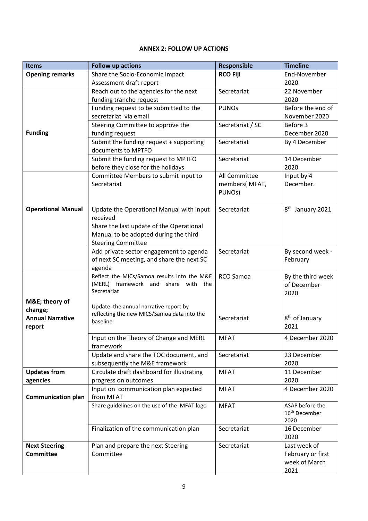## **ANNEX 2: FOLLOW UP ACTIONS**

| <b>Items</b>                       | <b>Follow up actions</b>                                  | <b>Responsible</b> | <b>Timeline</b>                    |
|------------------------------------|-----------------------------------------------------------|--------------------|------------------------------------|
| <b>Opening remarks</b>             | Share the Socio-Economic Impact                           | <b>RCO Fiji</b>    | End-November                       |
|                                    | Assessment draft report                                   |                    | 2020                               |
|                                    | Reach out to the agencies for the next                    | Secretariat        | 22 November                        |
|                                    | funding tranche request                                   |                    | 2020                               |
|                                    | Funding request to be submitted to the                    | <b>PUNOs</b>       | Before the end of                  |
|                                    | secretariat via email                                     |                    | November 2020                      |
|                                    | Steering Committee to approve the                         | Secretariat / SC   | Before 3                           |
| <b>Funding</b>                     | funding request                                           |                    | December 2020                      |
|                                    | Submit the funding request + supporting                   | Secretariat        | By 4 December                      |
|                                    | documents to MPTFO                                        |                    |                                    |
|                                    | Submit the funding request to MPTFO                       | Secretariat        | 14 December                        |
|                                    | before they close for the holidays                        |                    | 2020                               |
|                                    | Committee Members to submit input to                      | All Committee      | Input by 4                         |
|                                    | Secretariat                                               | members(MFAT,      | December.                          |
|                                    |                                                           | PUNOs)             |                                    |
|                                    |                                                           |                    |                                    |
| <b>Operational Manual</b>          | Update the Operational Manual with input                  | Secretariat        | 8 <sup>th</sup> January 2021       |
|                                    | received                                                  |                    |                                    |
|                                    | Share the last update of the Operational                  |                    |                                    |
|                                    | Manual to be adopted during the third                     |                    |                                    |
|                                    | <b>Steering Committee</b>                                 |                    |                                    |
|                                    | Add private sector engagement to agenda                   | Secretariat        | By second week -                   |
|                                    | of next SC meeting, and share the next SC                 |                    | February                           |
|                                    | agenda                                                    |                    |                                    |
|                                    | Reflect the MICs/Samoa results into the M&E               | RCO Samoa          | By the third week                  |
|                                    | (MERL) framework and share<br>with the<br>Secretariat     |                    | of December                        |
|                                    |                                                           |                    | 2020                               |
| M&E theory of                      | Update the annual narrative report by                     |                    |                                    |
| change;<br><b>Annual Narrative</b> | reflecting the new MICS/Samoa data into the               | Secretariat        |                                    |
|                                    | baseline                                                  |                    | 8 <sup>th</sup> of January<br>2021 |
| report                             |                                                           |                    |                                    |
|                                    | Input on the Theory of Change and MERL                    | <b>MFAT</b>        | 4 December 2020                    |
|                                    | framework                                                 |                    |                                    |
|                                    | Update and share the TOC document, and                    | Secretariat        | 23 December                        |
|                                    | subsequently the M&E framework                            |                    | 2020                               |
| <b>Updates from</b>                | Circulate draft dashboard for illustrating                | <b>MFAT</b>        | 11 December                        |
| agencies                           | progress on outcomes                                      |                    | 2020                               |
|                                    | Input on communication plan expected                      | <b>MFAT</b>        | 4 December 2020                    |
| <b>Communication plan</b>          | from MFAT<br>Share guidelines on the use of the MFAT logo |                    | ASAP before the                    |
|                                    |                                                           | <b>MFAT</b>        | 16 <sup>th</sup> December          |
|                                    |                                                           |                    | 2020                               |
|                                    | Finalization of the communication plan                    | Secretariat        | 16 December                        |
|                                    |                                                           |                    | 2020                               |
| <b>Next Steering</b>               | Plan and prepare the next Steering                        | Secretariat        | Last week of                       |
| <b>Committee</b>                   | Committee                                                 |                    | February or first                  |
|                                    |                                                           |                    | week of March                      |
|                                    |                                                           |                    | 2021                               |